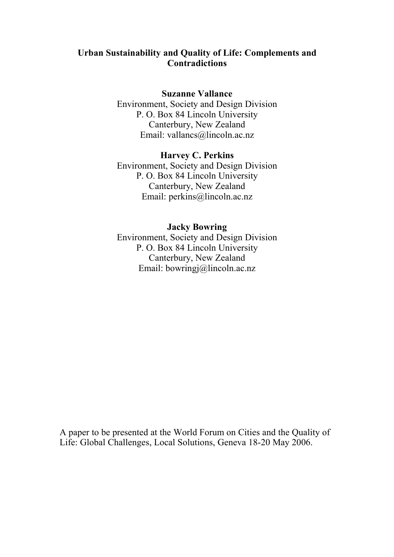## **Urban Sustainability and Quality of Life: Complements and Contradictions**

#### **Suzanne Vallance**

Environment, Society and Design Division P. O. Box 84 Lincoln University Canterbury, New Zealand Email: vallancs@lincoln.ac.nz

## **Harvey C. Perkins**

Environment, Society and Design Division P. O. Box 84 Lincoln University Canterbury, New Zealand Email: perkins@lincoln.ac.nz

## **Jacky Bowring**

Environment, Society and Design Division P. O. Box 84 Lincoln University Canterbury, New Zealand Email: bowringj@lincoln.ac.nz

A paper to be presented at the World Forum on Cities and the Quality of Life: Global Challenges, Local Solutions, Geneva 18-20 May 2006.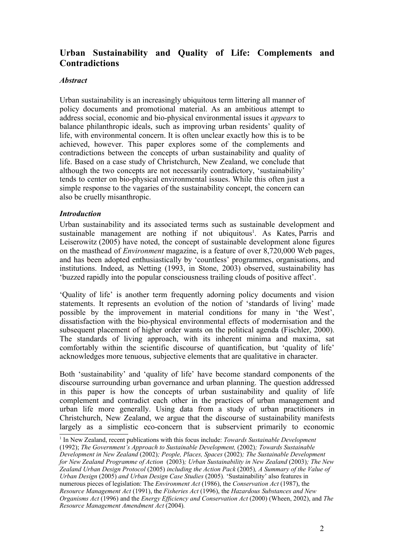# **Urban Sustainability and Quality of Life: Complements and Contradictions**

#### *Abstract*

Urban sustainability is an increasingly ubiquitous term littering all manner of policy documents and promotional material. As an ambitious attempt to address social, economic and bio-physical environmental issues it *appears* to balance philanthropic ideals, such as improving urban residents' quality of life, with environmental concern. It is often unclear exactly how this is to be achieved, however. This paper explores some of the complements and contradictions between the concepts of urban sustainability and quality of life. Based on a case study of Christchurch, New Zealand, we conclude that although the two concepts are not necessarily contradictory, 'sustainability' tends to center on bio-physical environmental issues. While this often just a simple response to the vagaries of the sustainability concept, the concern can also be cruelly misanthropic.

#### *Introduction*

Urban sustainability and its associated terms such as sustainable development and sustainable management are nothing if not ubiquitous<sup>1</sup>. As Kates, Parris and Leiserowitz (2005) have noted, the concept of sustainable development alone figures on the masthead of *Environment* magazine, is a feature of over 8,720,000 Web pages, and has been adopted enthusiastically by 'countless' programmes, organisations, and institutions. Indeed, as Netting (1993, in Stone, 2003) observed, sustainability has 'buzzed rapidly into the popular consciousness trailing clouds of positive affect'.

'Quality of life' is another term frequently adorning policy documents and vision statements. It represents an evolution of the notion of 'standards of living' made possible by the improvement in material conditions for many in 'the West', dissatisfaction with the bio-physical environmental effects of modernisation and the subsequent placement of higher order wants on the political agenda (Fischler, 2000). The standards of living approach, with its inherent minima and maxima, sat comfortably within the scientific discourse of quantification, but 'quality of life' acknowledges more tenuous, subjective elements that are qualitative in character.

Both 'sustainability' and 'quality of life' have become standard components of the discourse surrounding urban governance and urban planning. The question addressed in this paper is how the concepts of urban sustainability and quality of life complement and contradict each other in the practices of urban management and urban life more generally. Using data from a study of urban practitioners in Christchurch, New Zealand, we argue that the discourse of sustainability manifests largely as a simplistic eco-concern that is subservient primarily to economic

<sup>1</sup> In New Zealand, recent publications with this focus include: *Towards Sustainable Development*

<sup>(1992);</sup> *The Government's Approach to Sustainable Development,* (2002)*; Towards Sustainable*

*Development in New Zealand* (2002)*; People, Places, Spaces* (2002)*; The Sustainable Development for New Zealand Programme of Action* (2003)*; Urban Sustainability in New Zealand* (2003)*; The New Zealand Urban Design Protocol* (2005) *including the Action Pack* (2005)*, A Summary of the Value of Urban Design* (2005) *and Urban Design Case Studies* (2005)*.* 'Sustainability' also features in numerous pieces of legislation: The *Environment Act* (1986), the *Conservation Act* (1987), the *Resource Management Act* (1991), the *Fisheries Act* (1996), the *Hazardous Substances and New Organisms Act* (1996) and the *Energy Efficiency and Conservation Act* (2000) (Wheen, 2002), and *The Resource Management Amendment Act* (2004)*.*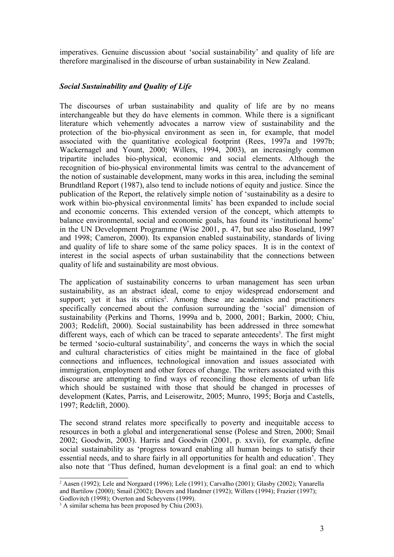imperatives. Genuine discussion about 'social sustainability' and quality of life are therefore marginalised in the discourse of urban sustainability in New Zealand.

## *Social Sustainability and Quality of Life*

The discourses of urban sustainability and quality of life are by no means interchangeable but they do have elements in common. While there is a significant literature which vehemently advocates a narrow view of sustainability and the protection of the bio-physical environment as seen in, for example, that model associated with the quantitative ecological footprint (Rees, 1997a and 1997b; Wackernagel and Yount, 2000; Willers, 1994, 2003), an increasingly common tripartite includes bio-physical, economic and social elements. Although the recognition of bio-physical environmental limits was central to the advancement of the notion of sustainable development, many works in this area, including the seminal Brundtland Report (1987), also tend to include notions of equity and justice. Since the publication of the Report, the relatively simple notion of 'sustainability as a desire to work within bio-physical environmental limits' has been expanded to include social and economic concerns. This extended version of the concept, which attempts to balance environmental, social and economic goals, has found its 'institutional home' in the UN Development Programme (Wise 2001, p. 47, but see also Roseland, 1997 and 1998; Cameron, 2000). Its expansion enabled sustainability, standards of living and quality of life to share some of the same policy spaces. It is in the context of interest in the social aspects of urban sustainability that the connections between quality of life and sustainability are most obvious.

The application of sustainability concerns to urban management has seen urban sustainability, as an abstract ideal, come to enjoy widespread endorsement and support; yet it has its critics<sup>2</sup>. Among these are academics and practitioners specifically concerned about the confusion surrounding the 'social' dimension of sustainability (Perkins and Thorns, 1999a and b, 2000, 2001; Barkin, 2000; Chiu, 2003; Redclift, 2000). Social sustainability has been addressed in three somewhat different ways, each of which can be traced to separate antecedents<sup>3</sup>. The first might be termed 'socio-cultural sustainability', and concerns the ways in which the social and cultural characteristics of cities might be maintained in the face of global connections and influences, technological innovation and issues associated with immigration, employment and other forces of change. The writers associated with this discourse are attempting to find ways of reconciling those elements of urban life which should be sustained with those that should be changed in processes of development (Kates, Parris, and Leiserowitz, 2005; Munro, 1995; Borja and Castells, 1997; Redclift, 2000).

The second strand relates more specifically to poverty and inequitable access to resources in both a global and intergenerational sense (Polese and Stren, 2000; Smail 2002; Goodwin, 2003). Harris and Goodwin (2001, p. xxvii), for example, define social sustainability as 'progress toward enabling all human beings to satisfy their essential needs, and to share fairly in all opportunities for health and education'. They also note that 'Thus defined, human development is a final goal: an end to which

<sup>2</sup> Aasen (1992); Lele and Norgaard (1996); Lele (1991); Carvalho (2001); Glasby (2002); Yanarella and Bartilow (2000); Smail (2002); Dovers and Handmer (1992); Willers (1994); Frazier (1997); Godlovitch (1998); Overton and Scheyvens (1999).

<sup>&</sup>lt;sup>3</sup> A similar schema has been proposed by Chiu (2003).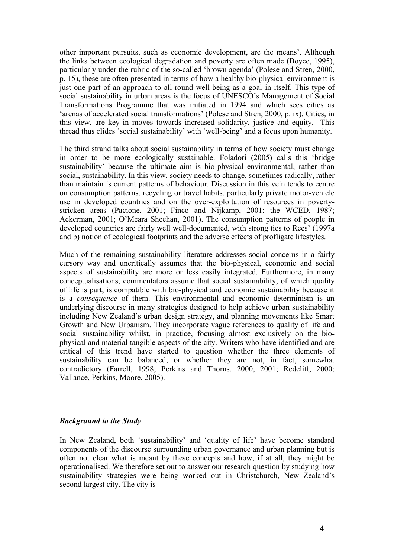other important pursuits, such as economic development, are the means'. Although the links between ecological degradation and poverty are often made (Boyce, 1995), particularly under the rubric of the so-called 'brown agenda' (Polese and Stren, 2000, p. 15), these are often presented in terms of how a healthy bio-physical environment is just one part of an approach to all-round well-being as a goal in itself. This type of social sustainability in urban areas is the focus of UNESCO's Management of Social Transformations Programme that was initiated in 1994 and which sees cities as 'arenas of accelerated social transformations' (Polese and Stren, 2000, p. ix). Cities, in this view, are key in moves towards increased solidarity, justice and equity. This thread thus elides 'social sustainability' with 'well-being' and a focus upon humanity.

The third strand talks about social sustainability in terms of how society must change in order to be more ecologically sustainable. Foladori (2005) calls this 'bridge sustainability' because the ultimate aim is bio-physical environmental, rather than social, sustainability. In this view, society needs to change, sometimes radically, rather than maintain is current patterns of behaviour. Discussion in this vein tends to centre on consumption patterns, recycling or travel habits, particularly private motor-vehicle use in developed countries and on the over-exploitation of resources in povertystricken areas (Pacione, 2001; Finco and Nijkamp, 2001; the WCED, 1987; Ackerman, 2001; O'Meara Sheehan, 2001). The consumption patterns of people in developed countries are fairly well well-documented, with strong ties to Rees' (1997a and b) notion of ecological footprints and the adverse effects of profligate lifestyles.

Much of the remaining sustainability literature addresses social concerns in a fairly cursory way and uncritically assumes that the bio-physical, economic and social aspects of sustainability are more or less easily integrated. Furthermore, in many conceptualisations, commentators assume that social sustainability, of which quality of life is part, is compatible with bio-physical and economic sustainability because it is a *consequence* of them. This environmental and economic determinism is an underlying discourse in many strategies designed to help achieve urban sustainability including New Zealand's urban design strategy, and planning movements like Smart Growth and New Urbanism. They incorporate vague references to quality of life and social sustainability whilst, in practice, focusing almost exclusively on the biophysical and material tangible aspects of the city. Writers who have identified and are critical of this trend have started to question whether the three elements of sustainability can be balanced, or whether they are not, in fact, somewhat contradictory (Farrell, 1998; Perkins and Thorns, 2000, 2001; Redclift, 2000; Vallance, Perkins, Moore, 2005).

#### *Background to the Study*

In New Zealand, both 'sustainability' and 'quality of life' have become standard components of the discourse surrounding urban governance and urban planning but is often not clear what is meant by these concepts and how, if at all, they might be operationalised. We therefore set out to answer our research question by studying how sustainability strategies were being worked out in Christchurch, New Zealand's second largest city. The city is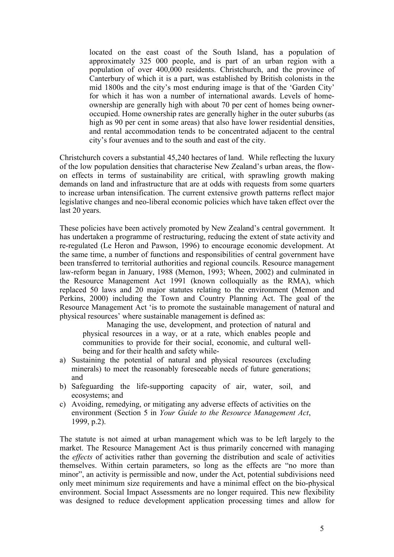located on the east coast of the South Island, has a population of approximately 325 000 people, and is part of an urban region with a population of over 400,000 residents. Christchurch, and the province of Canterbury of which it is a part, was established by British colonists in the mid 1800s and the city's most enduring image is that of the 'Garden City' for which it has won a number of international awards. Levels of homeownership are generally high with about 70 per cent of homes being owneroccupied. Home ownership rates are generally higher in the outer suburbs (as high as 90 per cent in some areas) that also have lower residential densities, and rental accommodation tends to be concentrated adjacent to the central city's four avenues and to the south and east of the city.

Christchurch covers a substantial 45,240 hectares of land. While reflecting the luxury of the low population densities that characterise New Zealand's urban areas, the flowon effects in terms of sustainability are critical, with sprawling growth making demands on land and infrastructure that are at odds with requests from some quarters to increase urban intensification. The current extensive growth patterns reflect major legislative changes and neo-liberal economic policies which have taken effect over the last 20 years.

These policies have been actively promoted by New Zealand's central government. It has undertaken a programme of restructuring, reducing the extent of state activity and re-regulated (Le Heron and Pawson, 1996) to encourage economic development. At the same time, a number of functions and responsibilities of central government have been transferred to territorial authorities and regional councils. Resource management law-reform began in January, 1988 (Memon, 1993; Wheen, 2002) and culminated in the Resource Management Act 1991 (known colloquially as the RMA), which replaced 50 laws and 20 major statutes relating to the environment (Memon and Perkins, 2000) including the Town and Country Planning Act. The goal of the Resource Management Act 'is to promote the sustainable management of natural and physical resources' where sustainable management is defined as:

Managing the use, development, and protection of natural and physical resources in a way, or at a rate, which enables people and communities to provide for their social, economic, and cultural wellbeing and for their health and safety while-

- a) Sustaining the potential of natural and physical resources (excluding minerals) to meet the reasonably foreseeable needs of future generations; and
- b) Safeguarding the life-supporting capacity of air, water, soil, and ecosystems; and
- c) Avoiding, remedying, or mitigating any adverse effects of activities on the environment (Section 5 in *Your Guide to the Resource Management Act*, 1999, p.2).

The statute is not aimed at urban management which was to be left largely to the market. The Resource Management Act is thus primarily concerned with managing the *effects* of activities rather than governing the distribution and scale of activities themselves. Within certain parameters, so long as the effects are "no more than minor", an activity is permissible and now, under the Act, potential subdivisions need only meet minimum size requirements and have a minimal effect on the bio-physical environment. Social Impact Assessments are no longer required. This new flexibility was designed to reduce development application processing times and allow for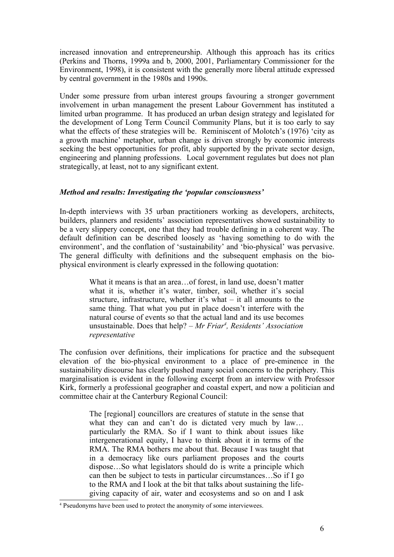increased innovation and entrepreneurship. Although this approach has its critics (Perkins and Thorns, 1999a and b, 2000, 2001, Parliamentary Commissioner for the Environment, 1998), it is consistent with the generally more liberal attitude expressed by central government in the 1980s and 1990s.

Under some pressure from urban interest groups favouring a stronger government involvement in urban management the present Labour Government has instituted a limited urban programme. It has produced an urban design strategy and legislated for the development of Long Term Council Community Plans, but it is too early to say what the effects of these strategies will be. Reminiscent of Molotch's (1976) 'city as a growth machine' metaphor, urban change is driven strongly by economic interests seeking the best opportunities for profit, ably supported by the private sector design, engineering and planning professions. Local government regulates but does not plan strategically, at least, not to any significant extent.

## *Method and results: Investigating the 'popular consciousness'*

In-depth interviews with 35 urban practitioners working as developers, architects, builders, planners and residents' association representatives showed sustainability to be a very slippery concept, one that they had trouble defining in a coherent way. The default definition can be described loosely as 'having something to do with the environment', and the conflation of 'sustainability' and 'bio-physical' was pervasive. The general difficulty with definitions and the subsequent emphasis on the biophysical environment is clearly expressed in the following quotation:

> What it means is that an area…of forest, in land use, doesn't matter what it is, whether it's water, timber, soil, whether it's social structure, infrastructure, whether it's what – it all amounts to the same thing. That what you put in place doesn't interfere with the natural course of events so that the actual land and its use becomes unsustainable. Does that help? – *Mr Friar<sup>4</sup> , Residents' Association representative*

The confusion over definitions, their implications for practice and the subsequent elevation of the bio-physical environment to a place of pre-eminence in the sustainability discourse has clearly pushed many social concerns to the periphery. This marginalisation is evident in the following excerpt from an interview with Professor Kirk, formerly a professional geographer and coastal expert, and now a politician and committee chair at the Canterbury Regional Council:

> The [regional] councillors are creatures of statute in the sense that what they can and can't do is dictated very much by law... particularly the RMA. So if I want to think about issues like intergenerational equity, I have to think about it in terms of the RMA. The RMA bothers me about that. Because I was taught that in a democracy like ours parliament proposes and the courts dispose…So what legislators should do is write a principle which can then be subject to tests in particular circumstances…So if I go to the RMA and I look at the bit that talks about sustaining the lifegiving capacity of air, water and ecosystems and so on and I ask

<sup>&</sup>lt;sup>4</sup> Pseudonyms have been used to protect the anonymity of some interviewees.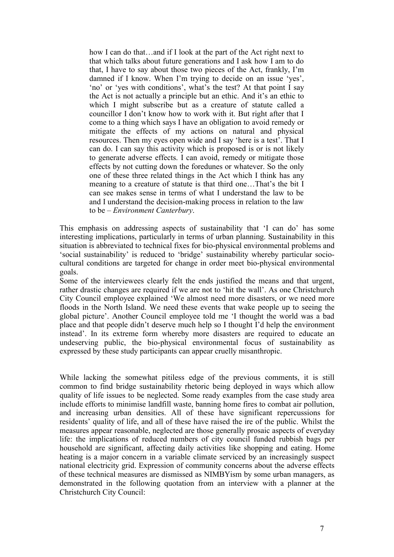how I can do that...and if I look at the part of the Act right next to that which talks about future generations and I ask how I am to do that, I have to say about those two pieces of the Act, frankly, I'm damned if I know. When I'm trying to decide on an issue 'yes', 'no' or 'yes with conditions', what's the test? At that point I say the Act is not actually a principle but an ethic. And it's an ethic to which I might subscribe but as a creature of statute called a councillor I don't know how to work with it. But right after that I come to a thing which says I have an obligation to avoid remedy or mitigate the effects of my actions on natural and physical resources. Then my eyes open wide and I say 'here is a test'. That I can do. I can say this activity which is proposed is or is not likely to generate adverse effects. I can avoid, remedy or mitigate those effects by not cutting down the foredunes or whatever. So the only one of these three related things in the Act which I think has any meaning to a creature of statute is that third one…That's the bit I can see makes sense in terms of what I understand the law to be and I understand the decision-making process in relation to the law to be – *Environment Canterbury*.

This emphasis on addressing aspects of sustainability that 'I can do' has some interesting implications, particularly in terms of urban planning. Sustainability in this situation is abbreviated to technical fixes for bio-physical environmental problems and 'social sustainability' is reduced to 'bridge' sustainability whereby particular sociocultural conditions are targeted for change in order meet bio-physical environmental goals.

Some of the interviewees clearly felt the ends justified the means and that urgent, rather drastic changes are required if we are not to 'hit the wall'. As one Christchurch City Council employee explained 'We almost need more disasters, or we need more floods in the North Island. We need these events that wake people up to seeing the global picture'. Another Council employee told me 'I thought the world was a bad place and that people didn't deserve much help so I thought I'd help the environment instead'. In its extreme form whereby more disasters are required to educate an undeserving public, the bio-physical environmental focus of sustainability as expressed by these study participants can appear cruelly misanthropic.

While lacking the somewhat pitiless edge of the previous comments, it is still common to find bridge sustainability rhetoric being deployed in ways which allow quality of life issues to be neglected. Some ready examples from the case study area include efforts to minimise landfill waste, banning home fires to combat air pollution, and increasing urban densities. All of these have significant repercussions for residents' quality of life, and all of these have raised the ire of the public. Whilst the measures appear reasonable, neglected are those generally prosaic aspects of everyday life: the implications of reduced numbers of city council funded rubbish bags per household are significant, affecting daily activities like shopping and eating. Home heating is a major concern in a variable climate serviced by an increasingly suspect national electricity grid. Expression of community concerns about the adverse effects of these technical measures are dismissed as NIMBYism by some urban managers, as demonstrated in the following quotation from an interview with a planner at the Christchurch City Council: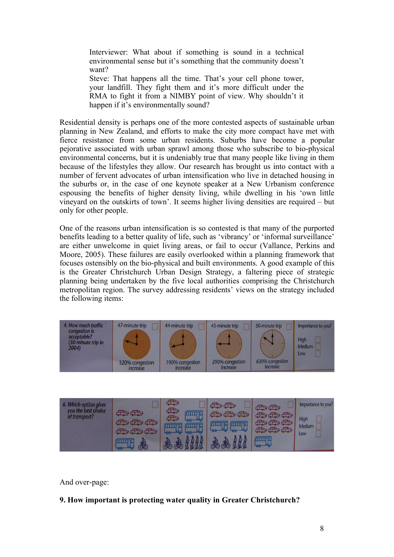Interviewer: What about if something is sound in a technical environmental sense but it's something that the community doesn't want?

Steve: That happens all the time. That's your cell phone tower, your landfill. They fight them and it's more difficult under the RMA to fight it from a NIMBY point of view. Why shouldn't it happen if it's environmentally sound?

Residential density is perhaps one of the more contested aspects of sustainable urban planning in New Zealand, and efforts to make the city more compact have met with fierce resistance from some urban residents. Suburbs have become a popular pejorative associated with urban sprawl among those who subscribe to bio-physical environmental concerns, but it is undeniably true that many people like living in them because of the lifestyles they allow. Our research has brought us into contact with a number of fervent advocates of urban intensification who live in detached housing in the suburbs or, in the case of one keynote speaker at a New Urbanism conference espousing the benefits of higher density living, while dwelling in his 'own little vineyard on the outskirts of town'. It seems higher living densities are required – but only for other people.

One of the reasons urban intensification is so contested is that many of the purported benefits leading to a better quality of life, such as 'vibrancy' or 'informal surveillance' are either unwelcome in quiet living areas, or fail to occur (Vallance, Perkins and Moore, 2005). These failures are easily overlooked within a planning framework that focuses ostensibly on the bio-physical and built environments. A good example of this is the Greater Christchurch Urban Design Strategy, a faltering piece of strategic planning being undertaken by the five local authorities comprising the Christchurch metropolitan region. The survey addressing residents' views on the strategy included the following items:





And over-page:

## **9. How important is protecting water quality in Greater Christchurch?**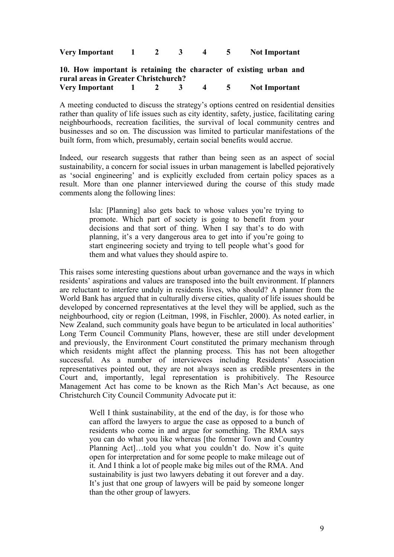| Very Important |  |  | <b>Not Important</b> |
|----------------|--|--|----------------------|
|                |  |  |                      |

#### **10. How important is retaining the character of existing urban and rural areas in Greater Christchurch? Very Important 1 2 3 4 5 Not Important**

A meeting conducted to discuss the strategy's options centred on residential densities rather than quality of life issues such as city identity, safety, justice, facilitating caring neighbourhoods, recreation facilities, the survival of local community centres and businesses and so on. The discussion was limited to particular manifestations of the built form, from which, presumably, certain social benefits would accrue.

Indeed, our research suggests that rather than being seen as an aspect of social sustainability, a concern for social issues in urban management is labelled pejoratively as 'social engineering' and is explicitly excluded from certain policy spaces as a result. More than one planner interviewed during the course of this study made comments along the following lines:

> Isla: [Planning] also gets back to whose values you're trying to promote. Which part of society is going to benefit from your decisions and that sort of thing. When I say that's to do with planning, it's a very dangerous area to get into if you're going to start engineering society and trying to tell people what's good for them and what values they should aspire to.

This raises some interesting questions about urban governance and the ways in which residents' aspirations and values are transposed into the built environment. If planners are reluctant to interfere unduly in residents lives, who should? A planner from the World Bank has argued that in culturally diverse cities, quality of life issues should be developed by concerned representatives at the level they will be applied, such as the neighbourhood, city or region (Leitman, 1998, in Fischler, 2000). As noted earlier, in New Zealand, such community goals have begun to be articulated in local authorities' Long Term Council Community Plans, however, these are still under development and previously, the Environment Court constituted the primary mechanism through which residents might affect the planning process. This has not been altogether successful. As a number of interviewees including Residents' Association representatives pointed out, they are not always seen as credible presenters in the Court and, importantly, legal representation is prohibitively. The Resource Management Act has come to be known as the Rich Man's Act because, as one Christchurch City Council Community Advocate put it:

> Well I think sustainability, at the end of the day, is for those who can afford the lawyers to argue the case as opposed to a bunch of residents who come in and argue for something. The RMA says you can do what you like whereas [the former Town and Country Planning Act]…told you what you couldn't do. Now it's quite open for interpretation and for some people to make mileage out of it. And I think a lot of people make big miles out of the RMA. And sustainability is just two lawyers debating it out forever and a day. It's just that one group of lawyers will be paid by someone longer than the other group of lawyers.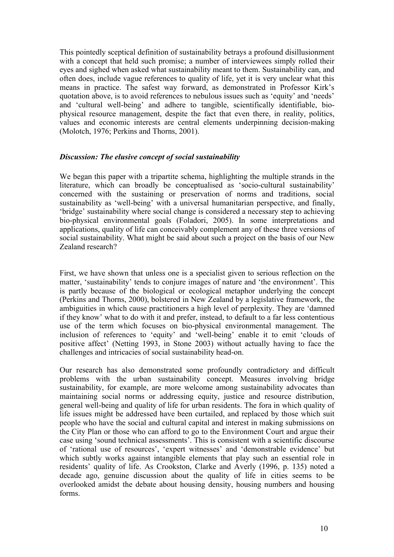This pointedly sceptical definition of sustainability betrays a profound disillusionment with a concept that held such promise; a number of interviewees simply rolled their eyes and sighed when asked what sustainability meant to them. Sustainability can, and often does, include vague references to quality of life, yet it is very unclear what this means in practice. The safest way forward, as demonstrated in Professor Kirk's quotation above, is to avoid references to nebulous issues such as 'equity' and 'needs' and 'cultural well-being' and adhere to tangible, scientifically identifiable, biophysical resource management, despite the fact that even there, in reality, politics, values and economic interests are central elements underpinning decision-making (Molotch, 1976; Perkins and Thorns, 2001).

#### *Discussion: The elusive concept of social sustainability*

We began this paper with a tripartite schema, highlighting the multiple strands in the literature, which can broadly be conceptualised as 'socio-cultural sustainability' concerned with the sustaining or preservation of norms and traditions, social sustainability as 'well-being' with a universal humanitarian perspective, and finally, 'bridge' sustainability where social change is considered a necessary step to achieving bio-physical environmental goals (Foladori, 2005). In some interpretations and applications, quality of life can conceivably complement any of these three versions of social sustainability. What might be said about such a project on the basis of our New Zealand research?

First, we have shown that unless one is a specialist given to serious reflection on the matter, 'sustainability' tends to conjure images of nature and 'the environment'. This is partly because of the biological or ecological metaphor underlying the concept (Perkins and Thorns, 2000), bolstered in New Zealand by a legislative framework, the ambiguities in which cause practitioners a high level of perplexity. They are 'damned if they know' what to do with it and prefer, instead, to default to a far less contentious use of the term which focuses on bio-physical environmental management. The inclusion of references to 'equity' and 'well-being' enable it to emit 'clouds of positive affect' (Netting 1993, in Stone 2003) without actually having to face the challenges and intricacies of social sustainability head-on.

Our research has also demonstrated some profoundly contradictory and difficult problems with the urban sustainability concept. Measures involving bridge sustainability, for example, are more welcome among sustainability advocates than maintaining social norms or addressing equity, justice and resource distribution, general well-being and quality of life for urban residents. The fora in which quality of life issues might be addressed have been curtailed, and replaced by those which suit people who have the social and cultural capital and interest in making submissions on the City Plan or those who can afford to go to the Environment Court and argue their case using 'sound technical assessments'. This is consistent with a scientific discourse of 'rational use of resources', 'expert witnesses' and 'demonstrable evidence' but which subtly works against intangible elements that play such an essential role in residents' quality of life. As Crookston, Clarke and Averly (1996, p. 135) noted a decade ago, genuine discussion about the quality of life in cities seems to be overlooked amidst the debate about housing density, housing numbers and housing forms.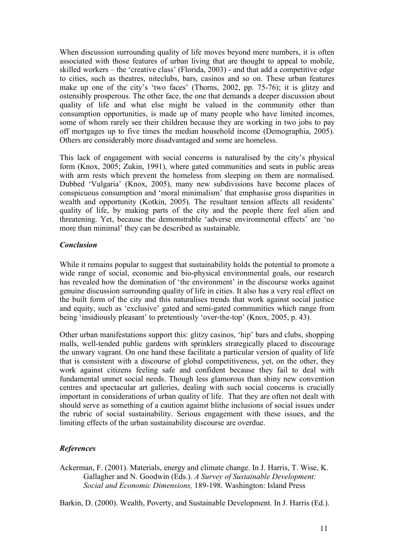When discussion surrounding quality of life moves beyond mere numbers, it is often associated with those features of urban living that are thought to appeal to mobile, skilled workers – the 'creative class' (Florida, 2003) - and that add a competitive edge to cities, such as theatres, niteclubs, bars, casinos and so on. These urban features make up one of the city's 'two faces' (Thorns, 2002, pp. 75-76); it is glitzy and ostensibly prosperous. The other face, the one that demands a deeper discussion about quality of life and what else might be valued in the community other than consumption opportunities, is made up of many people who have limited incomes, some of whom rarely see their children because they are working in two jobs to pay off mortgages up to five times the median household income (Demographia, 2005). Others are considerably more disadvantaged and some are homeless.

This lack of engagement with social concerns is naturalised by the city's physical form (Knox, 2005; Zukin, 1991), where gated communities and seats in public areas with arm rests which prevent the homeless from sleeping on them are normalised. Dubbed 'Vulgaria' (Knox, 2005), many new subdivisions have become places of conspicuous consumption and 'moral minimalism' that emphasise gross disparities in wealth and opportunity (Kotkin, 2005). The resultant tension affects all residents' quality of life, by making parts of the city and the people there feel alien and threatening. Yet, because the demonstrable 'adverse environmental effects' are 'no more than minimal' they can be described as sustainable.

## *Conclusion*

While it remains popular to suggest that sustainability holds the potential to promote a wide range of social, economic and bio-physical environmental goals, our research has revealed how the domination of 'the environment' in the discourse works against genuine discussion surrounding quality of life in cities. It also has a very real effect on the built form of the city and this naturalises trends that work against social justice and equity, such as 'exclusive' gated and semi-gated communities which range from being 'insidiously pleasant' to pretentiously 'over-the-top' (Knox, 2005, p. 43).

Other urban manifestations support this: glitzy casinos, 'hip' bars and clubs, shopping malls, well-tended public gardens with sprinklers strategically placed to discourage the unwary vagrant. On one hand these facilitate a particular version of quality of life that is consistent with a discourse of global competitiveness, yet, on the other, they work against citizens feeling safe and confident because they fail to deal with fundamental unmet social needs. Though less glamorous than shiny new convention centres and spectacular art galleries, dealing with such social concerns is crucially important in considerations of urban quality of life. That they are often not dealt with should serve as something of a caution against blithe inclusions of social issues under the rubric of social sustainability. Serious engagement with these issues, and the limiting effects of the urban sustainability discourse are overdue.

## *References*

Ackerman, F. (2001). Materials, energy and climate change. In J. Harris, T. Wise, K. Gallagher and N. Goodwin (Eds.). *A Survey of Sustainable Development: Social and Economic Dimensions,* 189-198. Washington: Island Press

Barkin, D. (2000). Wealth, Poverty, and Sustainable Development. In J. Harris (Ed.).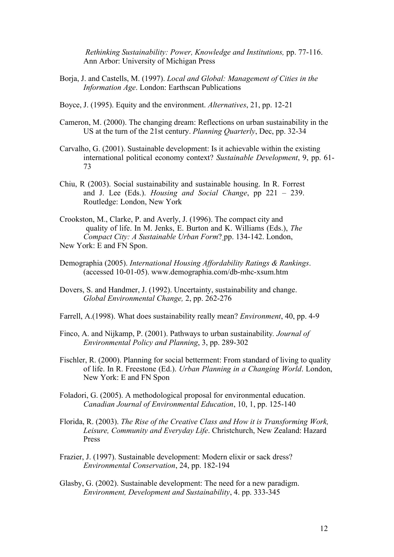*Rethinking Sustainability: Power, Knowledge and Institutions,* pp. 77-116. Ann Arbor: University of Michigan Press

- Borja, J. and Castells, M. (1997). *Local and Global: Management of Cities in the Information Age*. London: Earthscan Publications
- Boyce, J. (1995). Equity and the environment. *Alternatives*, 21, pp. 12-21
- Cameron, M. (2000). The changing dream: Reflections on urban sustainability in the US at the turn of the 21st century. *Planning Quarterly*, Dec, pp. 32-34
- Carvalho, G. (2001). Sustainable development: Is it achievable within the existing international political economy context? *Sustainable Development*, 9, pp. 61- 73
- Chiu, R (2003). Social sustainability and sustainable housing. In R. Forrest and J. Lee (Eds.). *Housing and Social Change*, pp 221 – 239. Routledge: London, New York
- Crookston, M., Clarke, P. and Averly, J. (1996). The compact city and quality of life. In M. Jenks, E. Burton and K. Williams (Eds.), *The Compact City: A Sustainable Urban Form*? pp. 134-142. London, New York: E and FN Spon.
- Demographia (2005). *International Housing Affordability Ratings & Rankings*. (accessed 10-01-05). www.demographia.com/db-mhc-xsum.htm
- Dovers, S. and Handmer, J. (1992). Uncertainty, sustainability and change. *Global Environmental Change,* 2, pp. 262-276
- Farrell, A.(1998). What does sustainability really mean? *Environment*, 40, pp. 4-9
- Finco, A. and Nijkamp, P. (2001). Pathways to urban sustainability*. Journal of Environmental Policy and Planning*, 3, pp. 289-302
- Fischler, R. (2000). Planning for social betterment: From standard of living to quality of life. In R. Freestone (Ed.). *Urban Planning in a Changing World*. London, New York: E and FN Spon
- Foladori, G. (2005). A methodological proposal for environmental education. *Canadian Journal of Environmental Education*, 10, 1, pp. 125-140
- Florida, R. (2003). *The Rise of the Creative Class and How it is Transforming Work, Leisure, Community and Everyday Life*. Christchurch, New Zealand: Hazard Press
- Frazier, J. (1997). Sustainable development: Modern elixir or sack dress? *Environmental Conservation*, 24, pp. 182-194
- Glasby, G. (2002). Sustainable development: The need for a new paradigm. *Environment, Development and Sustainability*, 4. pp. 333-345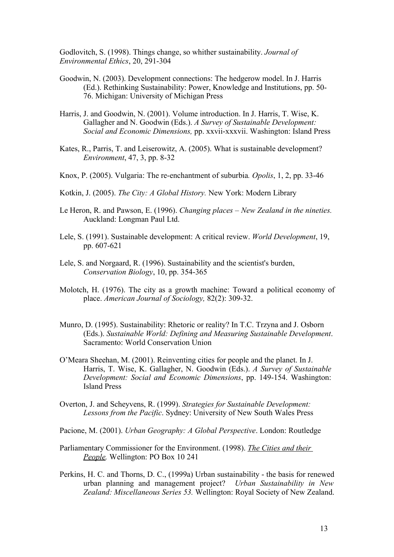Godlovitch, S. (1998). Things change, so whither sustainability. *Journal of Environmental Ethics*, 20, 291-304

- Goodwin, N. (2003). Development connections: The hedgerow model. In J. Harris (Ed.). Rethinking Sustainability: Power, Knowledge and Institutions, pp. 50- 76. Michigan: University of Michigan Press
- Harris, J. and Goodwin, N. (2001). Volume introduction. In J. Harris, T. Wise, K. Gallagher and N. Goodwin (Eds.). *A Survey of Sustainable Development: Social and Economic Dimensions,* pp. xxvii-xxxvii. Washington: Island Press
- Kates, R., Parris, T. and Leiserowitz, A. (2005). What is sustainable development? *Environment*, 47, 3, pp. 8-32
- Knox, P. (2005). Vulgaria: The re-enchantment of suburbia*. Opolis*, 1, 2, pp. 33-46
- Kotkin, J. (2005). *The City: A Global History.* New York: Modern Library
- Le Heron, R. and Pawson, E. (1996). *Changing places New Zealand in the nineties.* Auckland: Longman Paul Ltd.
- Lele, S. (1991). Sustainable development: A critical review. *World Development*, 19, pp. 607-621
- Lele, S. and Norgaard, R. (1996). Sustainability and the scientist's burden, *Conservation Biology*, 10, pp. 354-365
- Molotch, H. (1976). The city as a growth machine: Toward a political economy of place. *American Journal of Sociology,* 82(2): 309-32.
- Munro, D. (1995). Sustainability: Rhetoric or reality? In T.C. Trzyna and J. Osborn (Eds.). *Sustainable World: Defining and Measuring Sustainable Development*. Sacramento: World Conservation Union
- O'Meara Sheehan, M. (2001). Reinventing cities for people and the planet. In J. Harris, T. Wise, K. Gallagher, N. Goodwin (Eds.). *A Survey of Sustainable Development: Social and Economic Dimensions*, pp. 149-154. Washington: Island Press
- Overton, J. and Scheyvens, R. (1999). *Strategies for Sustainable Development: Lessons from the Pacific*. Sydney: University of New South Wales Press

Pacione, M. (2001). *Urban Geography: A Global Perspective*. London: Routledge

- Parliamentary Commissioner for the Environment. (1998). *The Cities and their People.* Wellington: PO Box 10 241
- Perkins, H. C. and Thorns, D. C., (1999a) Urban sustainability the basis for renewed urban planning and management project? *Urban Sustainability in New Zealand: Miscellaneous Series 53.* Wellington: Royal Society of New Zealand.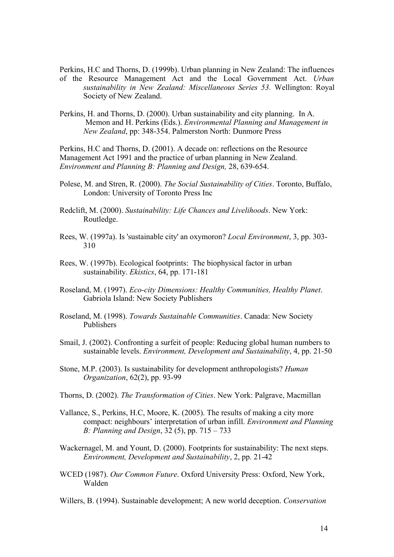Perkins, H.C and Thorns, D. (1999b). Urban planning in New Zealand: The influences of the Resource Management Act and the Local Government Act. *Urban sustainability in New Zealand: Miscellaneous Series 53.* Wellington: Royal Society of New Zealand.

Perkins, H. and Thorns, D. (2000). Urban sustainability and city planning. In A. Memon and H. Perkins (Eds.). *Environmental Planning and Management in New Zealand*, pp: 348-354. Palmerston North: Dunmore Press

Perkins, H.C and Thorns, D. (2001). A decade on: reflections on the Resource Management Act 1991 and the practice of urban planning in New Zealand. *Environment and Planning B: Planning and Design,* 28, 639-654.

- Polese, M. and Stren, R. (2000). *The Social Sustainability of Cities*. Toronto, Buffalo, London: University of Toronto Press Inc
- Redclift, M. (2000). *Sustainability: Life Chances and Livelihoods*. New York: Routledge.
- Rees, W. (1997a). Is 'sustainable city' an oxymoron? *Local Environment*, 3, pp. 303- 310
- Rees, W. (1997b). Ecological footprints: The biophysical factor in urban sustainability. *Ekistics*, 64, pp. 171-181
- Roseland, M. (1997). *Eco-city Dimensions: Healthy Communities, Healthy Planet*. Gabriola Island: New Society Publishers
- Roseland, M. (1998). *Towards Sustainable Communities*. Canada: New Society Publishers
- Smail, J. (2002). Confronting a surfeit of people: Reducing global human numbers to sustainable levels. *Environment, Development and Sustainability*, 4, pp. 21-50
- Stone, M.P. (2003). Is sustainability for development anthropologists? *Human Organization*, 62(2), pp. 93-99
- Thorns, D. (2002). *The Transformation of Cities*. New York: Palgrave, Macmillan
- Vallance, S., Perkins, H.C, Moore, K. (2005). The results of making a city more compact: neighbours' interpretation of urban infill. *Environment and Planning B: Planning and Design*, 32 (5), pp. 715 – 733
- Wackernagel, M. and Yount, D. (2000). Footprints for sustainability: The next steps. *Environment, Development and Sustainability*, 2, pp. 21-42
- WCED (1987). *Our Common Future*. Oxford University Press: Oxford, New York, Walden
- Willers, B. (1994). Sustainable development; A new world deception. *Conservation*